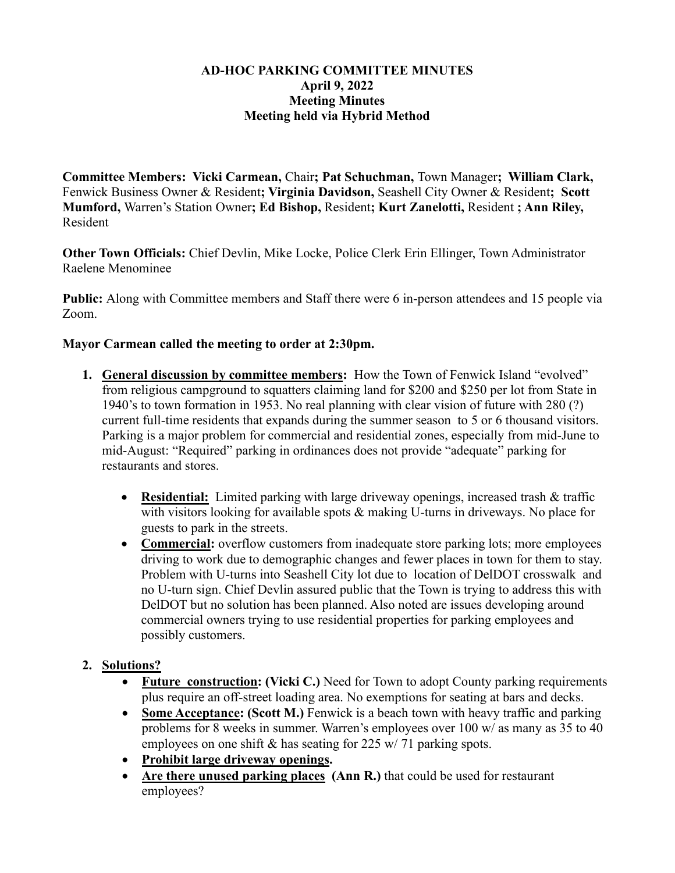#### **AD-HOC PARKING COMMITTEE MINUTES April 9, 2022 Meeting Minutes Meeting held via Hybrid Method**

**Committee Members: Vicki Carmean,** Chair**; Pat Schuchman,** Town Manager**; William Clark,**  Fenwick Business Owner & Resident**; Virginia Davidson,** Seashell City Owner & Resident**; Scott Mumford,** Warren's Station Owner**; Ed Bishop,** Resident**; Kurt Zanelotti,** Resident **; Ann Riley,**  Resident

**Other Town Officials:** Chief Devlin, Mike Locke, Police Clerk Erin Ellinger, Town Administrator Raelene Menominee

**Public:** Along with Committee members and Staff there were 6 in-person attendees and 15 people via Zoom.

### **Mayor Carmean called the meeting to order at 2:30pm.**

- **1. General discussion by committee members:** How the Town of Fenwick Island "evolved" from religious campground to squatters claiming land for \$200 and \$250 per lot from State in 1940's to town formation in 1953. No real planning with clear vision of future with 280 (?) current full-time residents that expands during the summer season to 5 or 6 thousand visitors. Parking is a major problem for commercial and residential zones, especially from mid-June to mid-August: "Required" parking in ordinances does not provide "adequate" parking for restaurants and stores.
	- **Residential:** Limited parking with large driveway openings, increased trash & traffic with visitors looking for available spots & making U-turns in driveways. No place for guests to park in the streets.
	- **Commercial:** overflow customers from inadequate store parking lots; more employees driving to work due to demographic changes and fewer places in town for them to stay. Problem with U-turns into Seashell City lot due to location of DelDOT crosswalk and no U-turn sign. Chief Devlin assured public that the Town is trying to address this with DelDOT but no solution has been planned. Also noted are issues developing around commercial owners trying to use residential properties for parking employees and possibly customers.

### **2. Solutions?**

- **Future construction: (Vicki C.)** Need for Town to adopt County parking requirements plus require an off-street loading area. No exemptions for seating at bars and decks.
- **Some Acceptance: (Scott M.)** Fenwick is a beach town with heavy traffic and parking problems for 8 weeks in summer. Warren's employees over 100 w/ as many as 35 to 40 employees on one shift & has seating for 225 w/ 71 parking spots.
- **Prohibit large driveway openings.**
- Are there unused parking places (Ann R.) that could be used for restaurant employees?